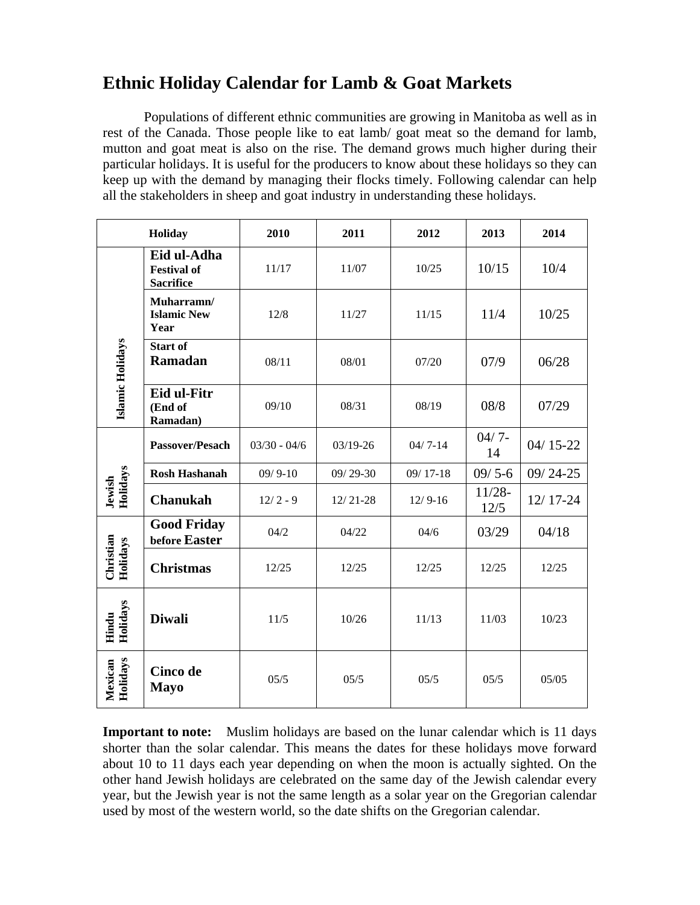# **Ethnic Holiday Calendar for Lamb & Goat Markets**

Populations of different ethnic communities are growing in Manitoba as well as in rest of the Canada. Those people like to eat lamb/ goat meat so the demand for lamb, mutton and goat meat is also on the rise. The demand grows much higher during their particular holidays. It is useful for the producers to know about these holidays so they can keep up with the demand by managing their flocks timely. Following calendar can help all the stakeholders in sheep and goat industry in understanding these holidays.

| Holiday               |                                                       | 2010           | 2011         | 2012        | 2013              | 2014         |
|-----------------------|-------------------------------------------------------|----------------|--------------|-------------|-------------------|--------------|
| Islamic Holidays      | Eid ul-Adha<br><b>Festival of</b><br><b>Sacrifice</b> | 11/17          | 11/07        | 10/25       | 10/15             | 10/4         |
|                       | Muharramn/<br><b>Islamic New</b><br>Year              | 12/8           | 11/27        | 11/15       | 11/4              | 10/25        |
|                       | <b>Start of</b><br>Ramadan                            | 08/11          | 08/01        | 07/20       | 07/9              | 06/28        |
|                       | Eid ul-Fitr<br>(End of<br>Ramadan)                    | 09/10          | 08/31        | 08/19       | 08/8              | 07/29        |
| Jewish<br>Holidays    | Passover/Pesach                                       | $03/30 - 04/6$ | $03/19 - 26$ | $04/7 - 14$ | $04/7-$<br>14     | $04/15 - 22$ |
|                       | <b>Rosh Hashanah</b>                                  | $09/9-10$      | $09/29-30$   | $09/17-18$  | $09/5-6$          | $09/24-25$   |
|                       | <b>Chanukah</b>                                       | $12/2 - 9$     | $12/21-28$   | $12/9-16$   | $11/28 -$<br>12/5 | $12/17 - 24$ |
| Christian<br>Holidays | <b>Good Friday</b><br>before Easter                   | 04/2           | 04/22        | 04/6        | 03/29             | 04/18        |
|                       | <b>Christmas</b>                                      | 12/25          | 12/25        | 12/25       | 12/25             | 12/25        |
| Holidays<br>Hindu     | <b>Diwali</b>                                         | 11/5           | 10/26        | 11/13       | 11/03             | 10/23        |
| Holidays<br>Mexican   | Cinco de<br><b>Mayo</b>                               | 05/5           | 05/5         | 05/5        | 05/5              | 05/05        |

**Important to note:** Muslim holidays are based on the lunar calendar which is 11 days shorter than the solar calendar. This means the dates for these holidays move forward about 10 to 11 days each year depending on when the moon is actually sighted. On the other hand Jewish holidays are celebrated on the same day of the Jewish calendar every year, but the Jewish year is not the same length as a solar year on the Gregorian calendar used by most of the western world, so the date shifts on the Gregorian calendar.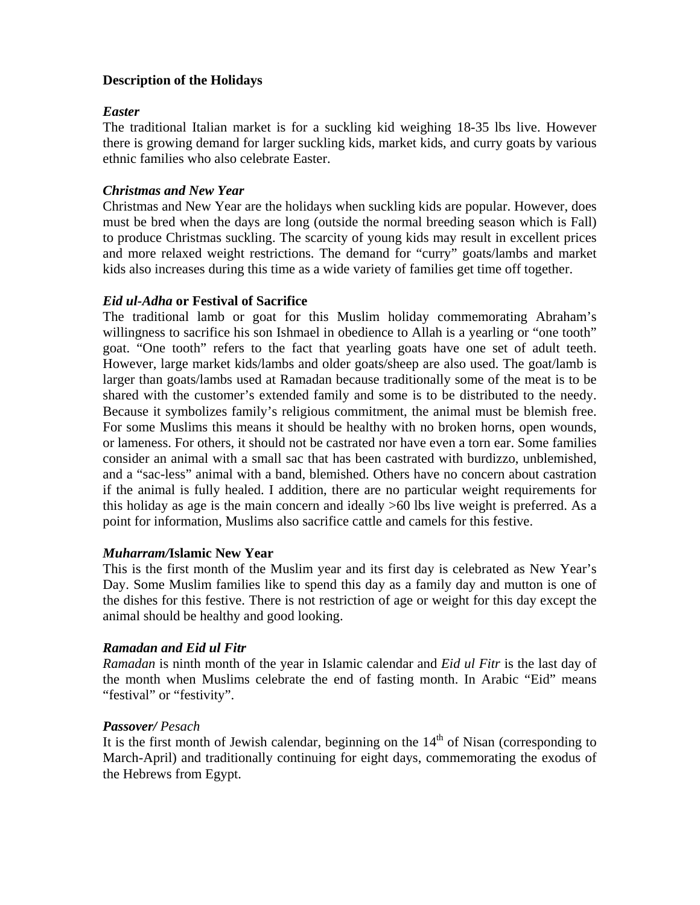## **Description of the Holidays**

## *Easter*

The traditional Italian market is for a suckling kid weighing 18-35 lbs live. However there is growing demand for larger suckling kids, market kids, and curry goats by various ethnic families who also celebrate Easter.

## *Christmas and New Year*

Christmas and New Year are the holidays when suckling kids are popular. However, does must be bred when the days are long (outside the normal breeding season which is Fall) to produce Christmas suckling. The scarcity of young kids may result in excellent prices and more relaxed weight restrictions. The demand for "curry" goats/lambs and market kids also increases during this time as a wide variety of families get time off together.

## *Eid ul-Adha* **or Festival of Sacrifice**

The traditional lamb or goat for this Muslim holiday commemorating Abraham's willingness to sacrifice his son Ishmael in obedience to Allah is a yearling or "one tooth" goat. "One tooth" refers to the fact that yearling goats have one set of adult teeth. However, large market kids/lambs and older goats/sheep are also used. The goat/lamb is larger than goats/lambs used at Ramadan because traditionally some of the meat is to be shared with the customer's extended family and some is to be distributed to the needy. Because it symbolizes family's religious commitment, the animal must be blemish free. For some Muslims this means it should be healthy with no broken horns, open wounds, or lameness. For others, it should not be castrated nor have even a torn ear. Some families consider an animal with a small sac that has been castrated with burdizzo, unblemished, and a "sac-less" animal with a band, blemished. Others have no concern about castration if the animal is fully healed. I addition, there are no particular weight requirements for this holiday as age is the main concern and ideally >60 lbs live weight is preferred. As a point for information, Muslims also sacrifice cattle and camels for this festive.

## *Muharram/***Islamic New Year**

This is the first month of the Muslim year and its first day is celebrated as New Year's Day. Some Muslim families like to spend this day as a family day and mutton is one of the dishes for this festive. There is not restriction of age or weight for this day except the animal should be healthy and good looking.

## *Ramadan and Eid ul Fitr*

*Ramadan* is ninth month of the year in Islamic calendar and *Eid ul Fitr* is the last day of the month when Muslims celebrate the end of fasting month. In Arabic "Eid" means "festival" or "festivity".

## *Passover/ Pesach*

It is the first month of Jewish calendar, beginning on the  $14<sup>th</sup>$  of Nisan (corresponding to March-April) and traditionally continuing for eight days, commemorating the exodus of the Hebrews from Egypt.